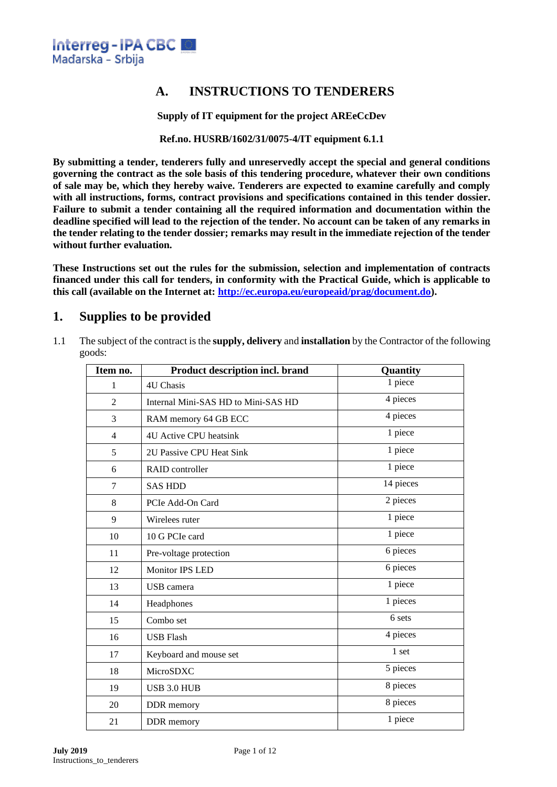

## **A. INSTRUCTIONS TO TENDERERS**

**Supply of IT equipment for the project AREeCcDev**

**Ref.no. HUSRB/1602/31/0075-4/IT equipment 6.1.1**

**By submitting a tender, tenderers fully and unreservedly accept the special and general conditions governing the contract as the sole basis of this tendering procedure, whatever their own conditions of sale may be, which they hereby waive. Tenderers are expected to examine carefully and comply with all instructions, forms, contract provisions and specifications contained in this tender dossier. Failure to submit a tender containing all the required information and documentation within the deadline specified will lead to the rejection of the tender. No account can be taken of any remarks in the tender relating to the tender dossier; remarks may result in the immediate rejection of the tender without further evaluation.**

**These Instructions set out the rules for the submission, selection and implementation of contracts financed under this call for tenders, in conformity with the Practical Guide, which is applicable to this call (available on the Internet at: [http://ec.europa.eu/europeaid/prag/document.do\)](http://ec.europa.eu/europeaid/prag/document.do).**

## **1. Supplies to be provided**

1.1 The subject of the contract is the **supply, delivery** and **installation** by the Contractor of the following goods:

| Item no.       | Product description incl. brand     | Quantity  |
|----------------|-------------------------------------|-----------|
| 1              | <b>4U Chasis</b>                    | 1 piece   |
| $\overline{2}$ | Internal Mini-SAS HD to Mini-SAS HD | 4 pieces  |
| 3              | RAM memory 64 GB ECC                | 4 pieces  |
| $\overline{4}$ | 4U Active CPU heatsink              | 1 piece   |
| 5              | 2U Passive CPU Heat Sink            | 1 piece   |
| 6              | RAID controller                     | 1 piece   |
| $\tau$         | <b>SAS HDD</b>                      | 14 pieces |
| 8              | PCIe Add-On Card                    | 2 pieces  |
| 9              | Wirelees ruter                      | 1 piece   |
| 10             | 10 G PCIe card                      | 1 piece   |
| 11             | Pre-voltage protection              | 6 pieces  |
| 12             | <b>Monitor IPS LED</b>              | 6 pieces  |
| 13             | USB camera                          | 1 piece   |
| 14             | Headphones                          | 1 pieces  |
| 15             | Combo set                           | 6 sets    |
| 16             | <b>USB Flash</b>                    | 4 pieces  |
| 17             | Keyboard and mouse set              | 1 set     |
| 18             | MicroSDXC                           | 5 pieces  |
| 19             | USB 3.0 HUB                         | 8 pieces  |
| 20             | DDR memory                          | 8 pieces  |
| 21             | DDR memory                          | 1 piece   |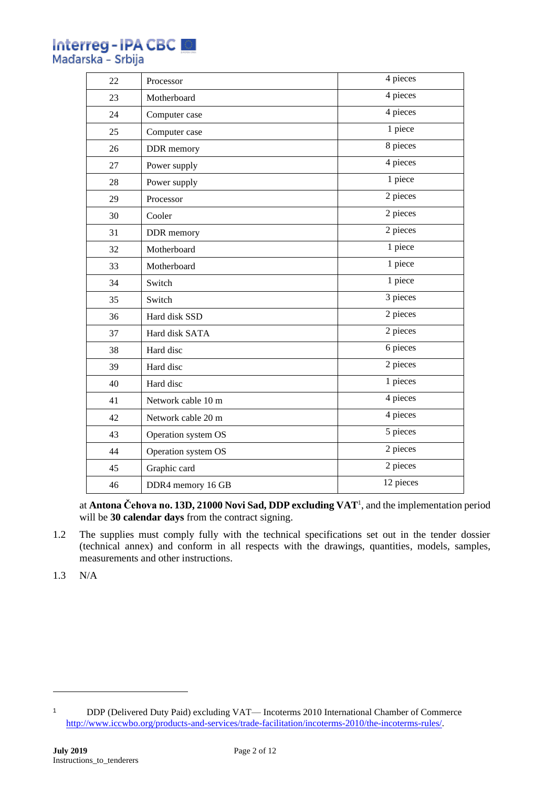| <b>Interreg-IPA CBC</b> |  |  |
|-------------------------|--|--|
| Mađarska - Srbija       |  |  |

| 22 | Processor           | 4 pieces  |
|----|---------------------|-----------|
| 23 | Motherboard         | 4 pieces  |
| 24 | Computer case       | 4 pieces  |
| 25 | Computer case       | 1 piece   |
| 26 | DDR memory          | 8 pieces  |
| 27 | Power supply        | 4 pieces  |
| 28 | Power supply        | 1 piece   |
| 29 | Processor           | 2 pieces  |
| 30 | Cooler              | 2 pieces  |
| 31 | DDR memory          | 2 pieces  |
| 32 | Motherboard         | 1 piece   |
| 33 | Motherboard         | 1 piece   |
| 34 | Switch              | 1 piece   |
| 35 | Switch              | 3 pieces  |
| 36 | Hard disk SSD       | 2 pieces  |
| 37 | Hard disk SATA      | 2 pieces  |
| 38 | Hard disc           | 6 pieces  |
| 39 | Hard disc           | 2 pieces  |
| 40 | Hard disc           | 1 pieces  |
| 41 | Network cable 10 m  | 4 pieces  |
| 42 | Network cable 20 m  | 4 pieces  |
| 43 | Operation system OS | 5 pieces  |
| 44 | Operation system OS | 2 pieces  |
| 45 | Graphic card        | 2 pieces  |
| 46 | DDR4 memory 16 GB   | 12 pieces |

at **Antona Čehova no. 13D, 21000 Novi Sad, DDP excluding VAT**<sup>1</sup> , and the implementation period will be **30 calendar days** from the contract signing.

1.2 The supplies must comply fully with the technical specifications set out in the tender dossier (technical annex) and conform in all respects with the drawings, quantities, models, samples, measurements and other instructions.

1.3 N/A

 DDP (Delivered Duty Paid) excluding VAT— Incoterms 2010 International Chamber of Commerce [http://www.iccwbo.org/products-and-services/trade-facilitation/incoterms-2010/the-incoterms-rules/.](http://www.iccwbo.org/products-and-services/trade-facilitation/incoterms-2010/the-incoterms-rules/)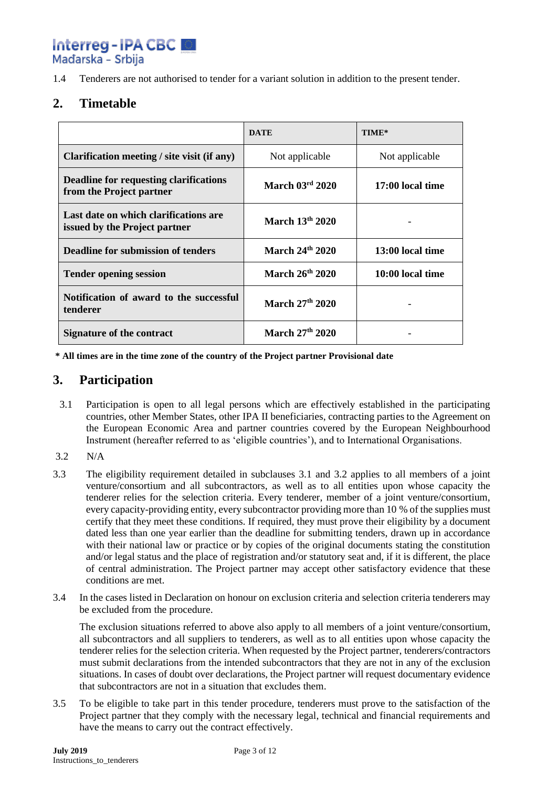Interreg-IPA CBC

Maďarska - Srbija

## **2. Timetable**

|                                                                        | <b>DATE</b>     | TIME*            |
|------------------------------------------------------------------------|-----------------|------------------|
| Clarification meeting / site visit (if any)                            | Not applicable  | Not applicable   |
| Deadline for requesting clarifications<br>from the Project partner     | March 03rd 2020 | 17:00 local time |
| Last date on which clarifications are<br>issued by the Project partner | March 13th 2020 |                  |
| <b>Deadline for submission of tenders</b>                              | March 24th 2020 | 13:00 local time |
| <b>Tender opening session</b>                                          | March 26th 2020 | 10:00 local time |
| Notification of award to the successful<br>tenderer                    | March 27th 2020 |                  |
| Signature of the contract                                              | March 27th 2020 |                  |

**\* All times are in the time zone of the country of the Project partner Provisional date**

## **3. Participation**

- 3.1 Participation is open to all legal persons which are effectively established in the participating countries, other Member States, other IPA II beneficiaries, contracting parties to the Agreement on the European Economic Area and partner countries covered by the European Neighbourhood Instrument (hereafter referred to as 'eligible countries'), and to International Organisations.
- 3.2 N/A
- 3.3 The eligibility requirement detailed in subclauses 3.1 and 3.2 applies to all members of a joint venture/consortium and all subcontractors, as well as to all entities upon whose capacity the tenderer relies for the selection criteria. Every tenderer, member of a joint venture/consortium, every capacity-providing entity, every subcontractor providing more than 10 % of the supplies must certify that they meet these conditions. If required, they must prove their eligibility by a document dated less than one year earlier than the deadline for submitting tenders, drawn up in accordance with their national law or practice or by copies of the original documents stating the constitution and/or legal status and the place of registration and/or statutory seat and, if it is different, the place of central administration. The Project partner may accept other satisfactory evidence that these conditions are met.
- 3.4 In the cases listed in Declaration on honour on exclusion criteria and selection criteria tenderers may be excluded from the procedure.

The exclusion situations referred to above also apply to all members of a joint venture/consortium, all subcontractors and all suppliers to tenderers, as well as to all entities upon whose capacity the tenderer relies for the selection criteria. When requested by the Project partner, tenderers/contractors must submit declarations from the intended subcontractors that they are not in any of the exclusion situations. In cases of doubt over declarations, the Project partner will request documentary evidence that subcontractors are not in a situation that excludes them.

3.5 To be eligible to take part in this tender procedure, tenderers must prove to the satisfaction of the Project partner that they comply with the necessary legal, technical and financial requirements and have the means to carry out the contract effectively.

<sup>1.4</sup> Tenderers are not authorised to tender for a variant solution in addition to the present tender.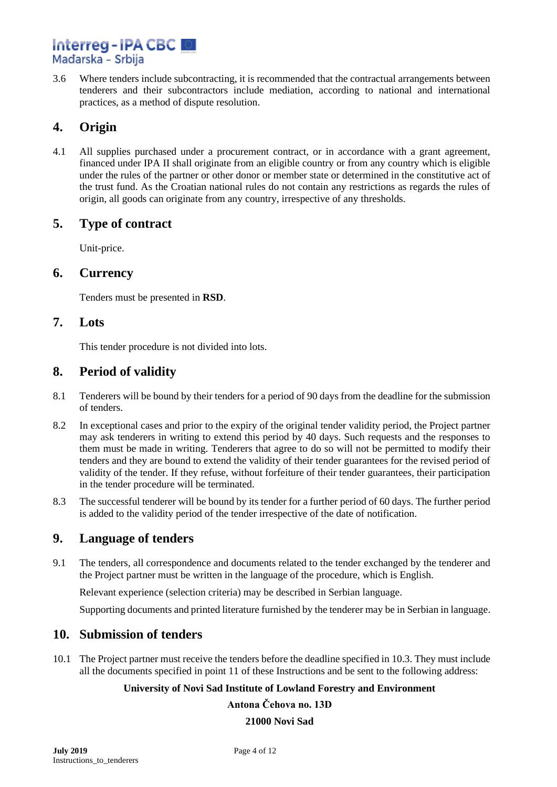# Interreg-IPA CBC Maďarska - Srbija

3.6 Where tenders include subcontracting, it is recommended that the contractual arrangements between tenderers and their subcontractors include mediation, according to national and international practices, as a method of dispute resolution.

# **4. Origin**

4.1 All supplies purchased under a procurement contract, or in accordance with a grant agreement, financed under IPA II shall originate from an eligible country or from any country which is eligible under the rules of the partner or other donor or member state or determined in the constitutive act of the trust fund. As the Croatian national rules do not contain any restrictions as regards the rules of origin, all goods can originate from any country, irrespective of any thresholds.

## **5. Type of contract**

Unit-price.

#### **6. Currency**

Tenders must be presented in **RSD**.

## **7. Lots**

This tender procedure is not divided into lots.

## **8. Period of validity**

- 8.1 Tenderers will be bound by their tenders for a period of 90 days from the deadline for the submission of tenders.
- 8.2 In exceptional cases and prior to the expiry of the original tender validity period, the Project partner may ask tenderers in writing to extend this period by 40 days. Such requests and the responses to them must be made in writing. Tenderers that agree to do so will not be permitted to modify their tenders and they are bound to extend the validity of their tender guarantees for the revised period of validity of the tender. If they refuse, without forfeiture of their tender guarantees, their participation in the tender procedure will be terminated.
- 8.3 The successful tenderer will be bound by its tender for a further period of 60 days. The further period is added to the validity period of the tender irrespective of the date of notification.

## **9. Language of tenders**

9.1 The tenders, all correspondence and documents related to the tender exchanged by the tenderer and the Project partner must be written in the language of the procedure, which is English.

Relevant experience (selection criteria) may be described in Serbian language.

Supporting documents and printed literature furnished by the tenderer may be in Serbian in language.

## **10. Submission of tenders**

10.1 The Project partner must receive the tenders before the deadline specified in 10.3. They must include all the documents specified in point 11 of these Instructions and be sent to the following address:

#### **University of Novi Sad Institute of Lowland Forestry and Environment**

**Antona Čehova no. 13D 21000 Novi Sad**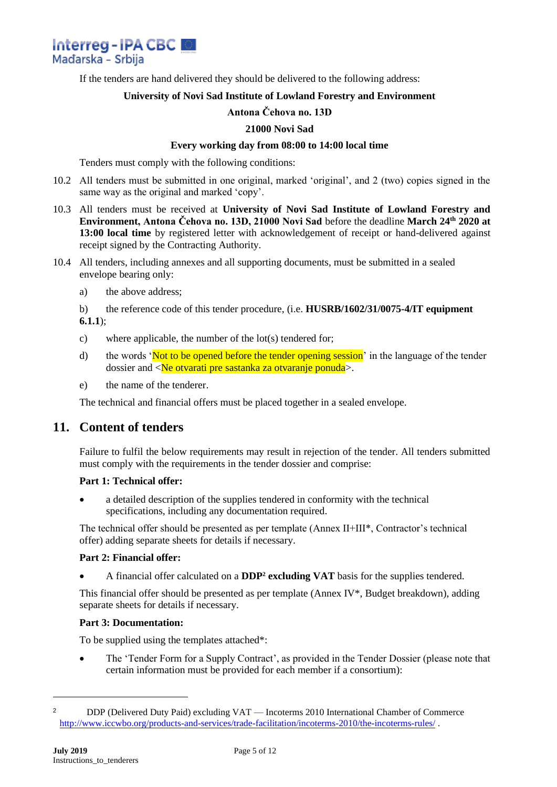

If the tenders are hand delivered they should be delivered to the following address:

#### **University of Novi Sad Institute of Lowland Forestry and Environment**

#### **Antona Čehova no. 13D**

#### **21000 Novi Sad**

#### **Every working day from 08:00 to 14:00 local time**

Tenders must comply with the following conditions:

- 10.2 All tenders must be submitted in one original, marked 'original', and 2 (two) copies signed in the same way as the original and marked 'copy'.
- 10.3 All tenders must be received at **University of Novi Sad Institute of Lowland Forestry and Environment, Antona Čehova no. 13D, 21000 Novi Sad** before the deadline **March 24th 2020 at 13:00 local time** by registered letter with acknowledgement of receipt or hand-delivered against receipt signed by the Contracting Authority.
- 10.4 All tenders, including annexes and all supporting documents, must be submitted in a sealed envelope bearing only:
	- a) the above address;

b) the reference code of this tender procedure, (i.e. **HUSRB/1602/31/0075-4/IT equipment 6.1.1**);

- c) where applicable, the number of the lot(s) tendered for;
- d) the words 'Not to be opened before the tender opening session' in the language of the tender dossier and <Ne otvarati pre sastanka za otvaranje ponuda>.
- e) the name of the tenderer.

The technical and financial offers must be placed together in a sealed envelope.

#### **11. Content of tenders**

Failure to fulfil the below requirements may result in rejection of the tender. All tenders submitted must comply with the requirements in the tender dossier and comprise:

#### **Part 1: Technical offer:**

• a detailed description of the supplies tendered in conformity with the technical specifications, including any documentation required.

The technical offer should be presented as per template (Annex II+III\*, Contractor's technical offer) adding separate sheets for details if necessary.

#### **Part 2: Financial offer:**

• A financial offer calculated on a **DDP<sup>2</sup> excluding VAT** basis for the supplies tendered.

This financial offer should be presented as per template (Annex IV\*, Budget breakdown), adding separate sheets for details if necessary.

#### **Part 3: Documentation:**

To be supplied using the templates attached\*:

• The 'Tender Form for a Supply Contract', as provided in the Tender Dossier (please note that certain information must be provided for each member if a consortium):

<sup>2</sup> DDP (Delivered Duty Paid) excluding VAT — Incoterms 2010 International Chamber of Commerce <http://www.iccwbo.org/products-and-services/trade-facilitation/incoterms-2010/the-incoterms-rules/> .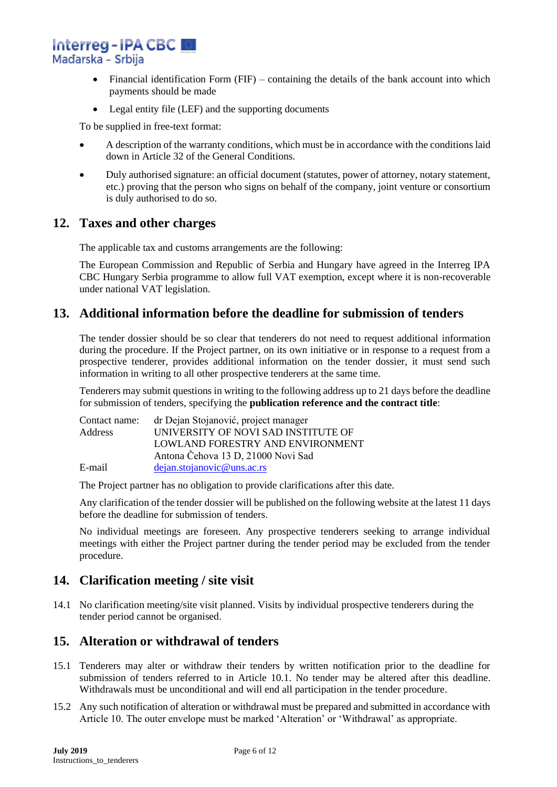**Interreg-IPA CBC** Mađarska - Srbija

- Financial identification Form  $(FIF)$  containing the details of the bank account into which payments should be made
- Legal entity file (LEF) and the supporting documents

To be supplied in free-text format:

- A description of the warranty conditions, which must be in accordance with the conditions laid down in Article 32 of the General Conditions.
- Duly authorised signature: an official document (statutes, power of attorney, notary statement, etc.) proving that the person who signs on behalf of the company, joint venture or consortium is duly authorised to do so.

#### **12. Taxes and other charges**

The applicable tax and customs arrangements are the following:

The European Commission and Republic of Serbia and Hungary have agreed in the Interreg IPA CBC Hungary Serbia programme to allow full VAT exemption, except where it is non-recoverable under national VAT legislation.

## **13. Additional information before the deadline for submission of tenders**

The tender dossier should be so clear that tenderers do not need to request additional information during the procedure. If the Project partner, on its own initiative or in response to a request from a prospective tenderer, provides additional information on the tender dossier, it must send such information in writing to all other prospective tenderers at the same time.

Tenderers may submit questions in writing to the following address up to 21 days before the deadline for submission of tenders, specifying the **publication reference and the contract title**:

| Contact name:  | dr Dejan Stojanović, project manager |
|----------------|--------------------------------------|
| <b>Address</b> | UNIVERSITY OF NOVI SAD INSTITUTE OF  |
|                | LOWLAND FORESTRY AND ENVIRONMENT     |
|                | Antona Čehova 13 D, 21000 Novi Sad   |
| E-mail         | dejan.stojanovic@uns.ac.rs           |

The Project partner has no obligation to provide clarifications after this date.

Any clarification of the tender dossier will be published on the following website at the latest 11 days before the deadline for submission of tenders.

No individual meetings are foreseen. Any prospective tenderers seeking to arrange individual meetings with either the Project partner during the tender period may be excluded from the tender procedure.

## **14. Clarification meeting / site visit**

14.1 No clarification meeting/site visit planned. Visits by individual prospective tenderers during the tender period cannot be organised.

## **15. Alteration or withdrawal of tenders**

- 15.1 Tenderers may alter or withdraw their tenders by written notification prior to the deadline for submission of tenders referred to in Article 10.1. No tender may be altered after this deadline. Withdrawals must be unconditional and will end all participation in the tender procedure.
- 15.2 Any such notification of alteration or withdrawal must be prepared and submitted in accordance with Article 10. The outer envelope must be marked 'Alteration' or 'Withdrawal' as appropriate.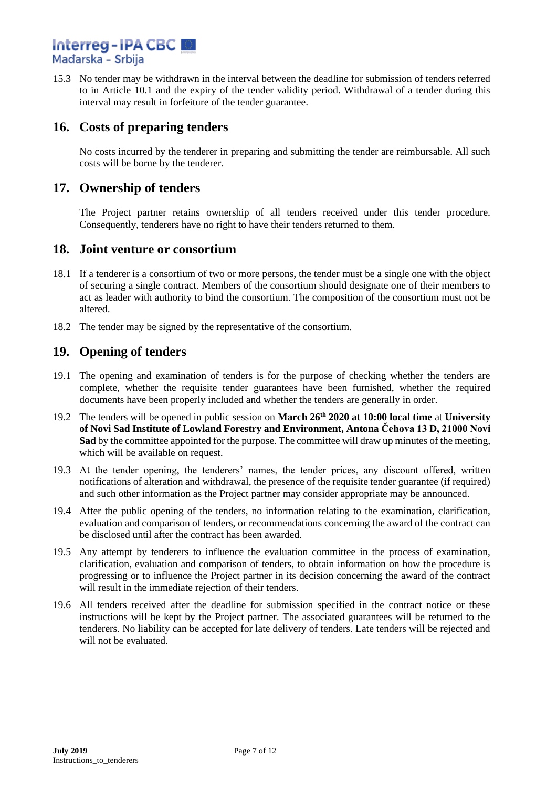## **Interreg-IPA CBC** Maďarska - Srbija

15.3 No tender may be withdrawn in the interval between the deadline for submission of tenders referred to in Article 10.1 and the expiry of the tender validity period. Withdrawal of a tender during this interval may result in forfeiture of the tender guarantee.

## **16. Costs of preparing tenders**

No costs incurred by the tenderer in preparing and submitting the tender are reimbursable. All such costs will be borne by the tenderer.

## **17. Ownership of tenders**

The Project partner retains ownership of all tenders received under this tender procedure. Consequently, tenderers have no right to have their tenders returned to them.

#### **18. Joint venture or consortium**

- 18.1 If a tenderer is a consortium of two or more persons, the tender must be a single one with the object of securing a single contract. Members of the consortium should designate one of their members to act as leader with authority to bind the consortium. The composition of the consortium must not be altered.
- 18.2 The tender may be signed by the representative of the consortium.

#### **19. Opening of tenders**

- 19.1 The opening and examination of tenders is for the purpose of checking whether the tenders are complete, whether the requisite tender guarantees have been furnished, whether the required documents have been properly included and whether the tenders are generally in order.
- 19.2 The tenders will be opened in public session on **March 26th 2020 at 10:00 local time** at **University of Novi Sad Institute of Lowland Forestry and Environment, Antona Čehova 13 D, 21000 Novi Sad** by the committee appointed for the purpose. The committee will draw up minutes of the meeting, which will be available on request.
- 19.3 At the tender opening, the tenderers' names, the tender prices, any discount offered, written notifications of alteration and withdrawal, the presence of the requisite tender guarantee (if required) and such other information as the Project partner may consider appropriate may be announced.
- 19.4 After the public opening of the tenders, no information relating to the examination, clarification, evaluation and comparison of tenders, or recommendations concerning the award of the contract can be disclosed until after the contract has been awarded.
- 19.5 Any attempt by tenderers to influence the evaluation committee in the process of examination, clarification, evaluation and comparison of tenders, to obtain information on how the procedure is progressing or to influence the Project partner in its decision concerning the award of the contract will result in the immediate rejection of their tenders.
- 19.6 All tenders received after the deadline for submission specified in the contract notice or these instructions will be kept by the Project partner. The associated guarantees will be returned to the tenderers. No liability can be accepted for late delivery of tenders. Late tenders will be rejected and will not be evaluated.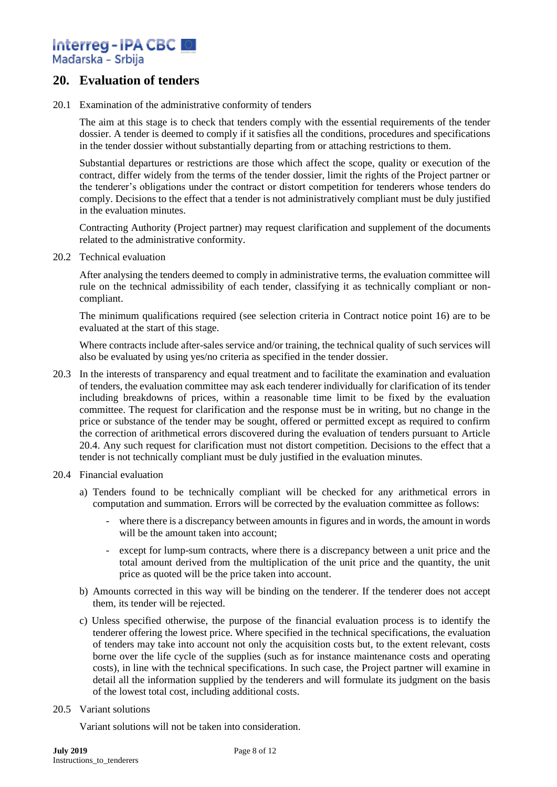Interreg-IPA CBC 圖 Mađarska - Srbija

## **20. Evaluation of tenders**

20.1 Examination of the administrative conformity of tenders

The aim at this stage is to check that tenders comply with the essential requirements of the tender dossier. A tender is deemed to comply if it satisfies all the conditions, procedures and specifications in the tender dossier without substantially departing from or attaching restrictions to them.

Substantial departures or restrictions are those which affect the scope, quality or execution of the contract, differ widely from the terms of the tender dossier, limit the rights of the Project partner or the tenderer's obligations under the contract or distort competition for tenderers whose tenders do comply. Decisions to the effect that a tender is not administratively compliant must be duly justified in the evaluation minutes.

Contracting Authority (Project partner) may request clarification and supplement of the documents related to the administrative conformity.

20.2 Technical evaluation

After analysing the tenders deemed to comply in administrative terms, the evaluation committee will rule on the technical admissibility of each tender, classifying it as technically compliant or noncompliant.

The minimum qualifications required (see selection criteria in Contract notice point 16) are to be evaluated at the start of this stage.

Where contracts include after-sales service and/or training, the technical quality of such services will also be evaluated by using yes/no criteria as specified in the tender dossier.

- 20.3 In the interests of transparency and equal treatment and to facilitate the examination and evaluation of tenders, the evaluation committee may ask each tenderer individually for clarification of its tender including breakdowns of prices, within a reasonable time limit to be fixed by the evaluation committee. The request for clarification and the response must be in writing, but no change in the price or substance of the tender may be sought, offered or permitted except as required to confirm the correction of arithmetical errors discovered during the evaluation of tenders pursuant to Article 20.4. Any such request for clarification must not distort competition. Decisions to the effect that a tender is not technically compliant must be duly justified in the evaluation minutes.
- 20.4 Financial evaluation
	- a) Tenders found to be technically compliant will be checked for any arithmetical errors in computation and summation. Errors will be corrected by the evaluation committee as follows:
		- where there is a discrepancy between amounts in figures and in words, the amount in words will be the amount taken into account:
		- except for lump-sum contracts, where there is a discrepancy between a unit price and the total amount derived from the multiplication of the unit price and the quantity, the unit price as quoted will be the price taken into account.
	- b) Amounts corrected in this way will be binding on the tenderer. If the tenderer does not accept them, its tender will be rejected.
	- c) Unless specified otherwise, the purpose of the financial evaluation process is to identify the tenderer offering the lowest price. Where specified in the technical specifications, the evaluation of tenders may take into account not only the acquisition costs but, to the extent relevant, costs borne over the life cycle of the supplies (such as for instance maintenance costs and operating costs), in line with the technical specifications. In such case, the Project partner will examine in detail all the information supplied by the tenderers and will formulate its judgment on the basis of the lowest total cost, including additional costs.

#### 20.5 Variant solutions

Variant solutions will not be taken into consideration.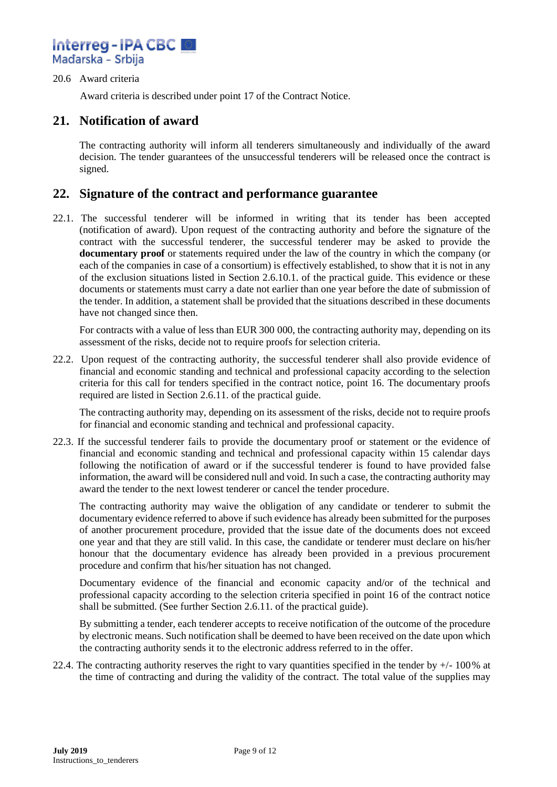

#### 20.6 Award criteria

Award criteria is described under point 17 of the Contract Notice.

#### **21. Notification of award**

The contracting authority will inform all tenderers simultaneously and individually of the award decision. The tender guarantees of the unsuccessful tenderers will be released once the contract is signed.

#### **22. Signature of the contract and performance guarantee**

22.1. The successful tenderer will be informed in writing that its tender has been accepted (notification of award). Upon request of the contracting authority and before the signature of the contract with the successful tenderer, the successful tenderer may be asked to provide the **documentary proof** or statements required under the law of the country in which the company (or each of the companies in case of a consortium) is effectively established, to show that it is not in any of the exclusion situations listed in Section 2.6.10.1. of the practical guide. This evidence or these documents or statements must carry a date not earlier than one year before the date of submission of the tender. In addition, a statement shall be provided that the situations described in these documents have not changed since then.

For contracts with a value of less than EUR 300 000, the contracting authority may, depending on its assessment of the risks, decide not to require proofs for selection criteria.

22.2. Upon request of the contracting authority, the successful tenderer shall also provide evidence of financial and economic standing and technical and professional capacity according to the selection criteria for this call for tenders specified in the contract notice, point 16. The documentary proofs required are listed in Section 2.6.11. of the practical guide.

The contracting authority may, depending on its assessment of the risks, decide not to require proofs for financial and economic standing and technical and professional capacity.

22.3. If the successful tenderer fails to provide the documentary proof or statement or the evidence of financial and economic standing and technical and professional capacity within 15 calendar days following the notification of award or if the successful tenderer is found to have provided false information, the award will be considered null and void. In such a case, the contracting authority may award the tender to the next lowest tenderer or cancel the tender procedure.

The contracting authority may waive the obligation of any candidate or tenderer to submit the documentary evidence referred to above if such evidence has already been submitted for the purposes of another procurement procedure, provided that the issue date of the documents does not exceed one year and that they are still valid. In this case, the candidate or tenderer must declare on his/her honour that the documentary evidence has already been provided in a previous procurement procedure and confirm that his/her situation has not changed.

Documentary evidence of the financial and economic capacity and/or of the technical and professional capacity according to the selection criteria specified in point 16 of the contract notice shall be submitted. (See further Section 2.6.11. of the practical guide).

By submitting a tender, each tenderer accepts to receive notification of the outcome of the procedure by electronic means. Such notification shall be deemed to have been received on the date upon which the contracting authority sends it to the electronic address referred to in the offer.

22.4. The contracting authority reserves the right to vary quantities specified in the tender by  $+/-100\%$  at the time of contracting and during the validity of the contract. The total value of the supplies may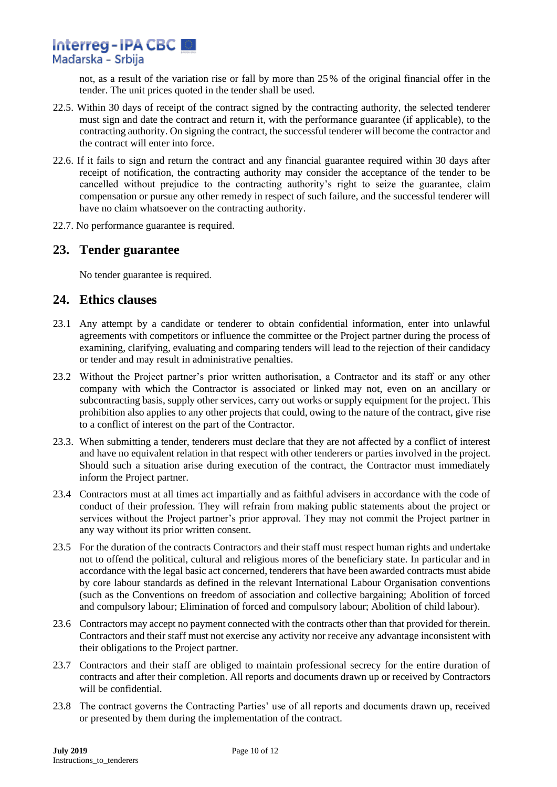not, as a result of the variation rise or fall by more than 25% of the original financial offer in the tender. The unit prices quoted in the tender shall be used.

- 22.5. Within 30 days of receipt of the contract signed by the contracting authority, the selected tenderer must sign and date the contract and return it, with the performance guarantee (if applicable), to the contracting authority. On signing the contract, the successful tenderer will become the contractor and the contract will enter into force.
- 22.6. If it fails to sign and return the contract and any financial guarantee required within 30 days after receipt of notification, the contracting authority may consider the acceptance of the tender to be cancelled without prejudice to the contracting authority's right to seize the guarantee, claim compensation or pursue any other remedy in respect of such failure, and the successful tenderer will have no claim whatsoever on the contracting authority.
- 22.7. No performance guarantee is required.

## **23. Tender guarantee**

No tender guarantee is required.

## **24. Ethics clauses**

- 23.1 Any attempt by a candidate or tenderer to obtain confidential information, enter into unlawful agreements with competitors or influence the committee or the Project partner during the process of examining, clarifying, evaluating and comparing tenders will lead to the rejection of their candidacy or tender and may result in administrative penalties.
- 23.2 Without the Project partner's prior written authorisation, a Contractor and its staff or any other company with which the Contractor is associated or linked may not, even on an ancillary or subcontracting basis, supply other services, carry out works or supply equipment for the project. This prohibition also applies to any other projects that could, owing to the nature of the contract, give rise to a conflict of interest on the part of the Contractor.
- 23.3. When submitting a tender, tenderers must declare that they are not affected by a conflict of interest and have no equivalent relation in that respect with other tenderers or parties involved in the project. Should such a situation arise during execution of the contract, the Contractor must immediately inform the Project partner.
- 23.4 Contractors must at all times act impartially and as faithful advisers in accordance with the code of conduct of their profession. They will refrain from making public statements about the project or services without the Project partner's prior approval. They may not commit the Project partner in any way without its prior written consent.
- 23.5 For the duration of the contracts Contractors and their staff must respect human rights and undertake not to offend the political, cultural and religious mores of the beneficiary state. In particular and in accordance with the legal basic act concerned, tenderers that have been awarded contracts must abide by core labour standards as defined in the relevant International Labour Organisation conventions (such as the Conventions on freedom of association and collective bargaining; Abolition of forced and compulsory labour; Elimination of forced and compulsory labour; Abolition of child labour).
- 23.6 Contractors may accept no payment connected with the contracts other than that provided for therein. Contractors and their staff must not exercise any activity nor receive any advantage inconsistent with their obligations to the Project partner.
- 23.7 Contractors and their staff are obliged to maintain professional secrecy for the entire duration of contracts and after their completion. All reports and documents drawn up or received by Contractors will be confidential.
- 23.8 The contract governs the Contracting Parties' use of all reports and documents drawn up, received or presented by them during the implementation of the contract.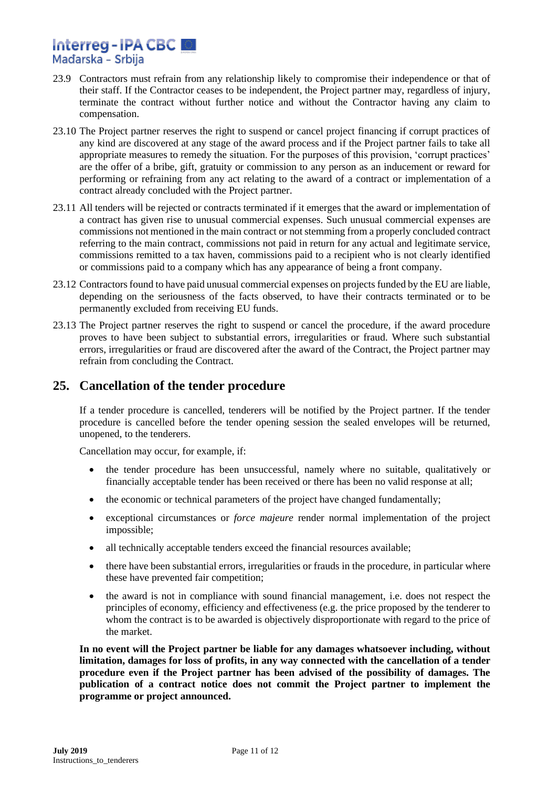# Interreg-IPA CBC 圖 Mađarska - Srbija

- 23.9 Contractors must refrain from any relationship likely to compromise their independence or that of their staff. If the Contractor ceases to be independent, the Project partner may, regardless of injury, terminate the contract without further notice and without the Contractor having any claim to compensation.
- 23.10 The Project partner reserves the right to suspend or cancel project financing if corrupt practices of any kind are discovered at any stage of the award process and if the Project partner fails to take all appropriate measures to remedy the situation. For the purposes of this provision, 'corrupt practices' are the offer of a bribe, gift, gratuity or commission to any person as an inducement or reward for performing or refraining from any act relating to the award of a contract or implementation of a contract already concluded with the Project partner.
- 23.11 All tenders will be rejected or contracts terminated if it emerges that the award or implementation of a contract has given rise to unusual commercial expenses. Such unusual commercial expenses are commissions not mentioned in the main contract or not stemming from a properly concluded contract referring to the main contract, commissions not paid in return for any actual and legitimate service, commissions remitted to a tax haven, commissions paid to a recipient who is not clearly identified or commissions paid to a company which has any appearance of being a front company.
- 23.12 Contractors found to have paid unusual commercial expenses on projects funded by the EU are liable, depending on the seriousness of the facts observed, to have their contracts terminated or to be permanently excluded from receiving EU funds.
- 23.13 The Project partner reserves the right to suspend or cancel the procedure, if the award procedure proves to have been subject to substantial errors, irregularities or fraud. Where such substantial errors, irregularities or fraud are discovered after the award of the Contract, the Project partner may refrain from concluding the Contract.

## **25. Cancellation of the tender procedure**

If a tender procedure is cancelled, tenderers will be notified by the Project partner. If the tender procedure is cancelled before the tender opening session the sealed envelopes will be returned, unopened, to the tenderers.

Cancellation may occur, for example, if:

- the tender procedure has been unsuccessful, namely where no suitable, qualitatively or financially acceptable tender has been received or there has been no valid response at all;
- the economic or technical parameters of the project have changed fundamentally;
- exceptional circumstances or *force majeure* render normal implementation of the project impossible;
- all technically acceptable tenders exceed the financial resources available;
- there have been substantial errors, irregularities or frauds in the procedure, in particular where these have prevented fair competition;
- the award is not in compliance with sound financial management, i.e. does not respect the principles of economy, efficiency and effectiveness (e.g. the price proposed by the tenderer to whom the contract is to be awarded is objectively disproportionate with regard to the price of the market.

**In no event will the Project partner be liable for any damages whatsoever including, without limitation, damages for loss of profits, in any way connected with the cancellation of a tender procedure even if the Project partner has been advised of the possibility of damages. The publication of a contract notice does not commit the Project partner to implement the programme or project announced.**